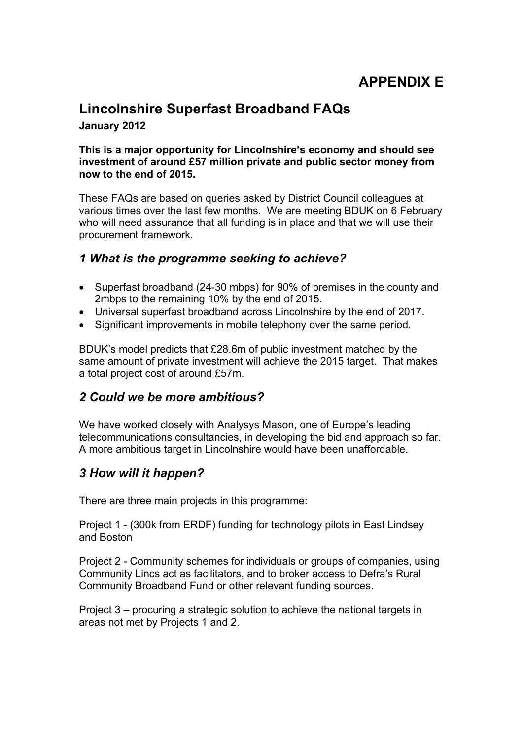# **APPENDIX E**

### **Lincolnshire Superfast Broadband FAQs January 2012**

#### **This is a major opportunity for Lincolnshire's economy and should see investment of around £57 million private and public sector money from now to the end of 2015.**

These FAQs are based on queries asked by District Council colleagues at various times over the last few months. We are meeting BDUK on 6 February who will need assurance that all funding is in place and that we will use their procurement framework.

#### *1 What is the programme seeking to achieve?*

- Superfast broadband (24-30 mbps) for 90% of premises in the county and 2mbps to the remaining 10% by the end of 2015.
- Universal superfast broadband across Lincolnshire by the end of 2017.
- Significant improvements in mobile telephony over the same period.

BDUK's model predicts that £28.6m of public investment matched by the same amount of private investment will achieve the 2015 target. That makes a total project cost of around £57m.

#### *2 Could we be more ambitious?*

We have worked closely with Analysys Mason, one of Europe's leading telecommunications consultancies, in developing the bid and approach so far. A more ambitious target in Lincolnshire would have been unaffordable.

#### *3 How will it happen?*

There are three main projects in this programme:

Project 1 - (300k from ERDF) funding for technology pilots in East Lindsey and Boston

Project 2 - Community schemes for individuals or groups of companies, using Community Lincs act as facilitators, and to broker access to Defra's Rural Community Broadband Fund or other relevant funding sources.

Project 3 – procuring a strategic solution to achieve the national targets in areas not met by Projects 1 and 2.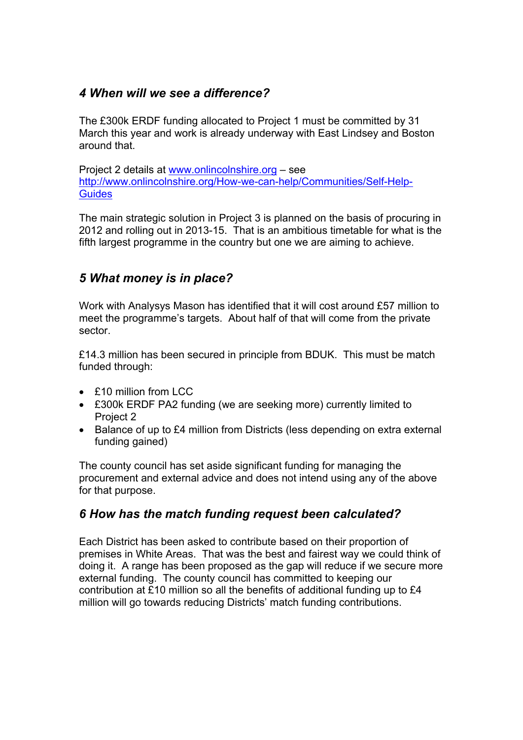#### *4 When will we see a difference?*

The £300k ERDF funding allocated to Project 1 must be committed by 31 March this year and work is already underway with East Lindsey and Boston around that.

Project 2 details at [www.onlincolnshire.org](http://www.onlincolnshire.org/) – see [http://www.onlincolnshire.org/How-we-can-help/Communities/Self-Help-](http://www.onlincolnshire.org/How-we-can-help/Communities/Self-Help-Guides)**[Guides](http://www.onlincolnshire.org/How-we-can-help/Communities/Self-Help-Guides)** 

The main strategic solution in Project 3 is planned on the basis of procuring in 2012 and rolling out in 2013-15. That is an ambitious timetable for what is the fifth largest programme in the country but one we are aiming to achieve.

### *5 What money is in place?*

Work with Analysys Mason has identified that it will cost around £57 million to meet the programme's targets. About half of that will come from the private sector.

£14.3 million has been secured in principle from BDUK. This must be match funded through:

- £10 million from LCC
- £300k ERDF PA2 funding (we are seeking more) currently limited to Project 2
- Balance of up to £4 million from Districts (less depending on extra external funding gained)

The county council has set aside significant funding for managing the procurement and external advice and does not intend using any of the above for that purpose.

### *6 How has the match funding request been calculated?*

Each District has been asked to contribute based on their proportion of premises in White Areas. That was the best and fairest way we could think of doing it. A range has been proposed as the gap will reduce if we secure more external funding. The county council has committed to keeping our contribution at £10 million so all the benefits of additional funding up to £4 million will go towards reducing Districts' match funding contributions.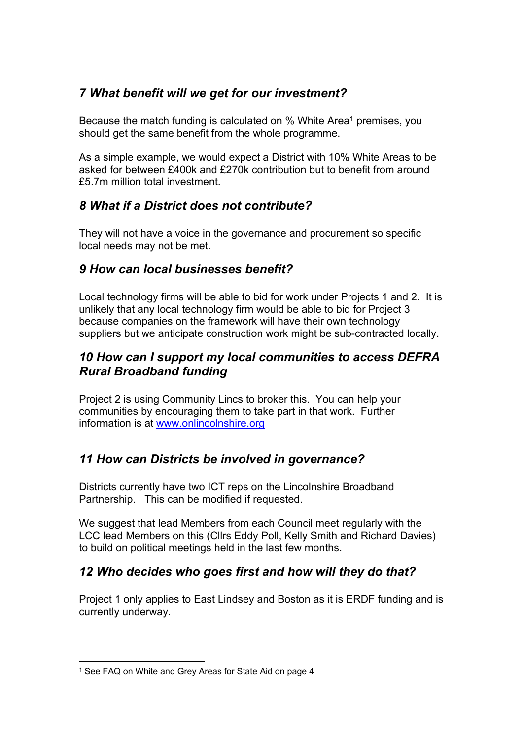### *7 What benefit will we get for our investment?*

Because the match funding is calculated on % White Area<sup>1</sup> premises, you should get the same benefit from the whole programme.

As a simple example, we would expect a District with 10% White Areas to be asked for between £400k and £270k contribution but to benefit from around £5.7m million total investment.

## *8 What if a District does not contribute?*

They will not have a voice in the governance and procurement so specific local needs may not be met.

### *9 How can local businesses benefit?*

Local technology firms will be able to bid for work under Projects 1 and 2. It is unlikely that any local technology firm would be able to bid for Project 3 because companies on the framework will have their own technology suppliers but we anticipate construction work might be sub-contracted locally.

### *10 How can I support my local communities to access DEFRA Rural Broadband funding*

Project 2 is using Community Lincs to broker this. You can help your communities by encouraging them to take part in that work. Further information is at [www.onlincolnshire.org](http://www.onlincolnshire.org/)

## *11 How can Districts be involved in governance?*

Districts currently have two ICT reps on the Lincolnshire Broadband Partnership. This can be modified if requested.

We suggest that lead Members from each Council meet regularly with the LCC lead Members on this (Cllrs Eddy Poll, Kelly Smith and Richard Davies) to build on political meetings held in the last few months.

### *12 Who decides who goes first and how will they do that?*

Project 1 only applies to East Lindsey and Boston as it is ERDF funding and is currently underway.

<sup>1</sup> See FAQ on White and Grey Areas for State Aid on page 4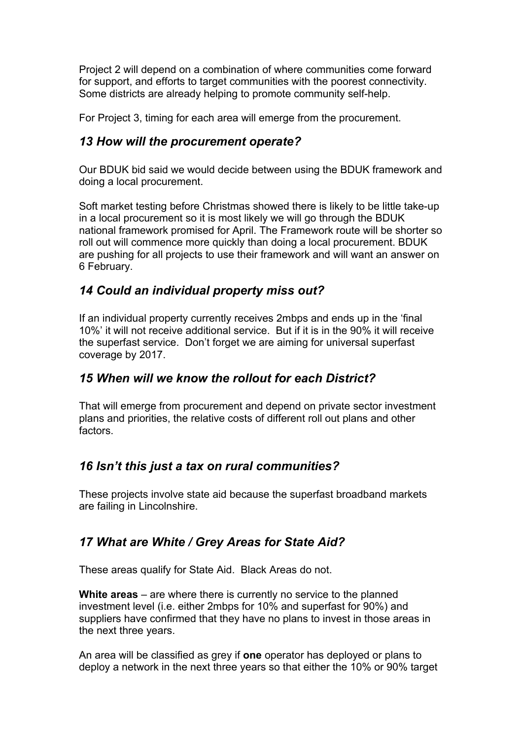Project 2 will depend on a combination of where communities come forward for support, and efforts to target communities with the poorest connectivity. Some districts are already helping to promote community self-help.

For Project 3, timing for each area will emerge from the procurement.

### *13 How will the procurement operate?*

Our BDUK bid said we would decide between using the BDUK framework and doing a local procurement.

Soft market testing before Christmas showed there is likely to be little take-up in a local procurement so it is most likely we will go through the BDUK national framework promised for April. The Framework route will be shorter so roll out will commence more quickly than doing a local procurement. BDUK are pushing for all projects to use their framework and will want an answer on 6 February.

#### *14 Could an individual property miss out?*

If an individual property currently receives 2mbps and ends up in the 'final 10%' it will not receive additional service. But if it is in the 90% it will receive the superfast service. Don't forget we are aiming for universal superfast coverage by 2017.

### *15 When will we know the rollout for each District?*

That will emerge from procurement and depend on private sector investment plans and priorities, the relative costs of different roll out plans and other factors.

### *16 Isn't this just a tax on rural communities?*

These projects involve state aid because the superfast broadband markets are failing in Lincolnshire.

## *17 What are White / Grey Areas for State Aid?*

These areas qualify for State Aid. Black Areas do not.

**White areas** – are where there is currently no service to the planned investment level (i.e. either 2mbps for 10% and superfast for 90%) and suppliers have confirmed that they have no plans to invest in those areas in the next three years.

An area will be classified as grey if **one** operator has deployed or plans to deploy a network in the next three years so that either the 10% or 90% target